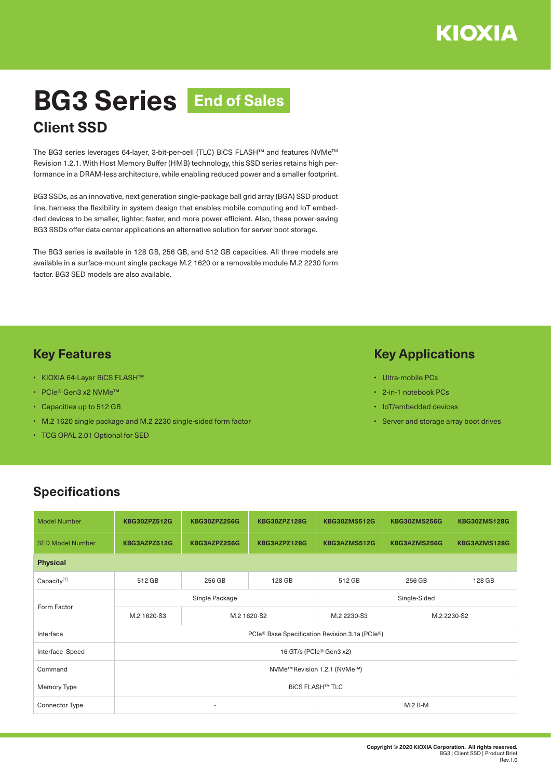# **BG3 Series End of Sales Client SSD**

The BG3 series leverages 64-layer, 3-bit-per-cell (TLC) BiCS FLASH™ and features NVMeTM Revision 1.2.1. With Host Memory Buffer (HMB) technology, this SSD series retains high performance in a DRAM-less architecture, while enabling reduced power and a smaller footprint.

BG3 SSDs, as an innovative, next generation single-package ball grid array (BGA) SSD product line, harness the flexibility in system design that enables mobile computing and IoT embedded devices to be smaller, lighter, faster, and more power efficient. Also, these power-saving BG3 SSDs offer data center applications an alternative solution for server boot storage.

The BG3 series is available in 128 GB, 256 GB, and 512 GB capacities. All three models are available in a surface-mount single package M.2 1620 or a removable module M.2 2230 form factor. BG3 SED models are also available.

### **Key Features**

- KIOXIA 64-Layer BiCS FLASH™
- PCIe® Gen3 x2 NVMe™
- Capacities up to 512 GB
- M.2 1620 single package and M.2 2230 single-sided form factor
- TCG OPAL 2.01 Optional for SED

#### **Key Applications**

- Ultra-mobile PCs
- 2-in-1 notebook PCs
- IoT/embedded devices
- Server and storage array boot drives

## **Specifications**

| <b>Model Number</b>     | <b>KBG30ZPZ512G</b>                            | <b>KBG30ZPZ256G</b>      | <b>KBG30ZPZ128G</b> | <b>KBG30ZMS512G</b> | KBG30ZMS256G | <b>KBG30ZMS128G</b> |  |  |  |  |
|-------------------------|------------------------------------------------|--------------------------|---------------------|---------------------|--------------|---------------------|--|--|--|--|
| <b>SED Model Number</b> | KBG3AZPZ512G                                   | KBG3AZPZ256G             | KBG3AZPZ128G        | KBG3AZMS512G        | KBG3AZMS256G | KBG3AZMS128G        |  |  |  |  |
| <b>Physical</b>         |                                                |                          |                     |                     |              |                     |  |  |  |  |
| Capacity[1]             | 512 GB                                         | 256 GB                   | 128 GB              | 512 GB              | 256 GB       | 128 GB              |  |  |  |  |
| Form Factor             | Single Package                                 |                          |                     | Single-Sided        |              |                     |  |  |  |  |
|                         | M.2 1620-S3                                    | M.2 1620-S2              |                     | M.2 2230-S3         | M.2 2230-S2  |                     |  |  |  |  |
| Interface               | PCIe® Base Specification Revision 3.1a (PCIe®) |                          |                     |                     |              |                     |  |  |  |  |
| Interface Speed         | 16 GT/s (PCIe® Gen3 x2)                        |                          |                     |                     |              |                     |  |  |  |  |
| Command                 | NVMe <sup>™</sup> Revision 1.2.1 (NVMe™)       |                          |                     |                     |              |                     |  |  |  |  |
| Memory Type             | <b>BICS FLASH™ TLC</b>                         |                          |                     |                     |              |                     |  |  |  |  |
| <b>Connector Type</b>   |                                                | $\overline{\phantom{a}}$ |                     | $M.2 B-M$           |              |                     |  |  |  |  |